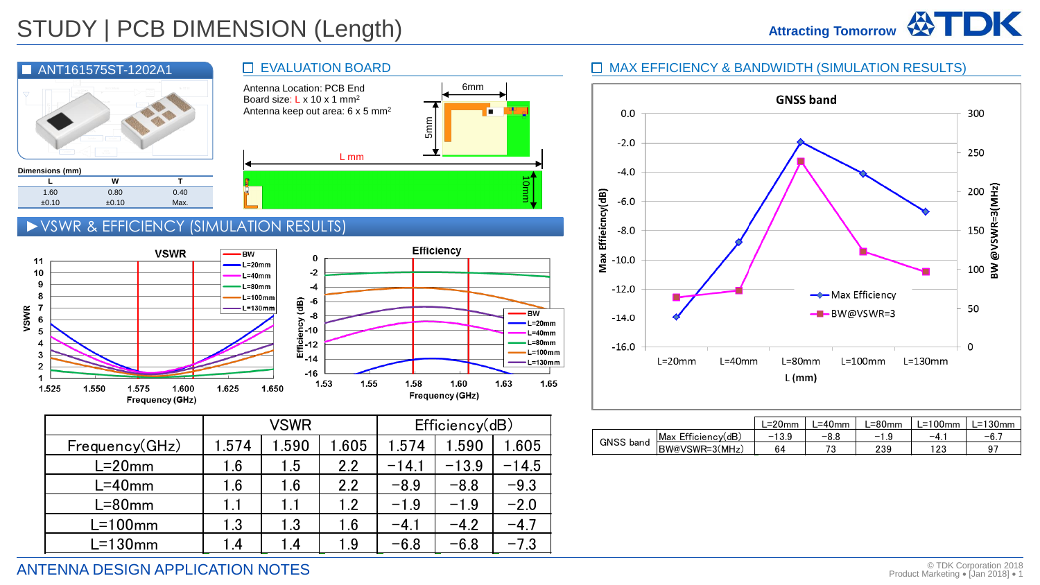



|             | 0                                                              |      |      | <b>Efficiency</b> |                         |      |                                            |  |
|-------------|----------------------------------------------------------------|------|------|-------------------|-------------------------|------|--------------------------------------------|--|
| m<br>m<br>m | $-2$<br>-4                                                     |      |      |                   |                         |      |                                            |  |
| nm<br>nm    |                                                                |      |      |                   |                         | - BW | L=20mm                                     |  |
|             | <b>Efficiency</b> de -6<br>Efficiency de -10<br><br>-12<br>-14 |      |      |                   |                         |      | $L = 40$ mm<br>$L = 80$ mm<br>$L = 100$ mm |  |
| .650        | $-16$<br>1.53                                                  | 1.55 | 1.58 |                   | 1.60<br>Frequency (GHz) | 1.63 | L=130mm<br>1.65                            |  |

10mm

6mm

п

|                |                 | <b>VSWR</b> |       | Efficiency(dB) |         |         |  |
|----------------|-----------------|-------------|-------|----------------|---------|---------|--|
| Frequency(GHz) | 1.574           | 1.590       | 1.605 | 1.574          | 1.590   | 1.605   |  |
| $L = 20$ mm    | 1.6             | 1.5         | 2.2   | $-14.1$        | $-13.9$ | $-14.5$ |  |
| $L = 40$ mm    | 1.6             | 1.6         | 2.2   | $-8.9$         | $-8.8$  | $-9.3$  |  |
| $L = 80$ mm    | 1.1             | 1.1         | 1.2   | $-1.9$         | $-1.9$  | $-2.0$  |  |
| $L=100$ mm     | 1.3             | 1.3         | 1.6   | $-4.1$         | $-4.2$  | $-4.7$  |  |
| $L=130$ mm     | $\overline{.4}$ | 1.4         | 1.9   | $-6.8$         | $-6.8$  | $-7.3$  |  |

### MAX EFFICIENCY & BANDWIDTH (SIMULATION RESULTS)



|           |                    | _=20mm  | _=40mm | ∟=80mm | _=100mm | L=130mm |
|-----------|--------------------|---------|--------|--------|---------|---------|
| GNSS band | Max Efficiency(dB) | $-13.9$ | $-8.8$ | $-1$   | -4      | $-6.$   |
|           | BW@VSWR=3(MHz)     | 64      | ר ד    | 239    | າດດ     | - Q T   |

## ANTENNA DESIGN APPLICATION NOTES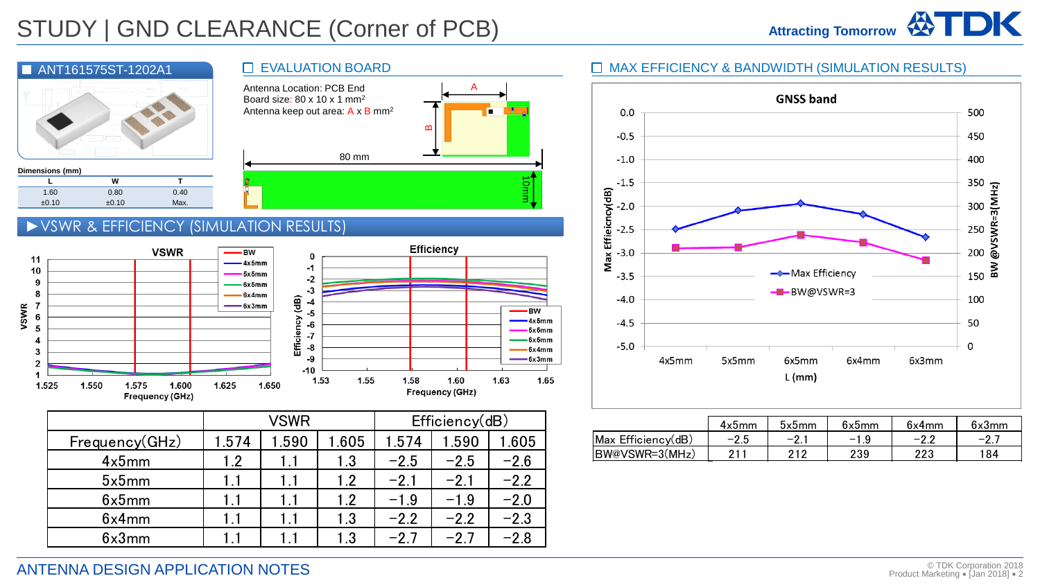

#### EVALUATION BOARD



·BW

 $-4x5mm$ 

 $-5x5mm$ 

 $-6x5mm$ 

-6x4mm

-6x3mm

1.65

### ►VSWR & EFFICIENCY (SIMULATION RESULTS)

±0.10 ±0.10 Max.



|                |       | VSWR |       | Efficiency(dB) |        |        |  |
|----------------|-------|------|-------|----------------|--------|--------|--|
| Frequency(GHz) | 1.574 | .590 | 1.605 | 1.574          | .590   | .605   |  |
| 4x5mm          | 1.2   | 1.1  | 1.3   | $-2.5$         | $-2.5$ | $-2.6$ |  |
| 5x5mm          | 1.1   | 1.1  | 1.2   | $-2.1$         | $-2.1$ | $-2.2$ |  |
| 6x5mm          | 1.1   | 1.1  | 1.2   | $-1.9$         | $-1.9$ | $-2.0$ |  |
| 6x4mm          | 1.1   | 1.1  | 1.3   | $-2.2$         | $-2.2$ | $-2.3$ |  |
| 6x3mm          |       |      | 1.3   | $-27$          | $-27$  | $-2.8$ |  |

### [ANT161575ST](https://product.tdk.com/en/search/rf/rf/antenna/info?part_no=ANT161575ST-1202A1)-1202A1 ■ EVALUATION BOARD ■ EVALUATION BOARD ■ MAX EFFICIENCY & BANDWIDTH (SIMULATION RESULTS)



| ficiency(dB<br>VSWR<br>- -- |      |                |      |      | 4x5mm                 | bx5mm                        | 6x5mm                   | $\sim$<br>6x4mm | 6x3mm                  |                 |
|-----------------------------|------|----------------|------|------|-----------------------|------------------------------|-------------------------|-----------------|------------------------|-----------------|
| .590                        | .605 | --<br>74<br>.v | .590 | .605 | Efficiency(dB)<br>Max | <sup>n</sup><br>-<br><u></u> | $\sim$<br>-<br><u>.</u> | -<br>. . v      | $\sim$<br>— 1<br>ے . د | $-$<br><u>.</u> |
|                             |      |                | -    |      | BW@VSWR=3(MHz)        | ∩ ⊣                          | 212                     | 239             | りりつ<br>د∠ے             | 184             |

### ANTENNA DESIGN APPLICATION NOTES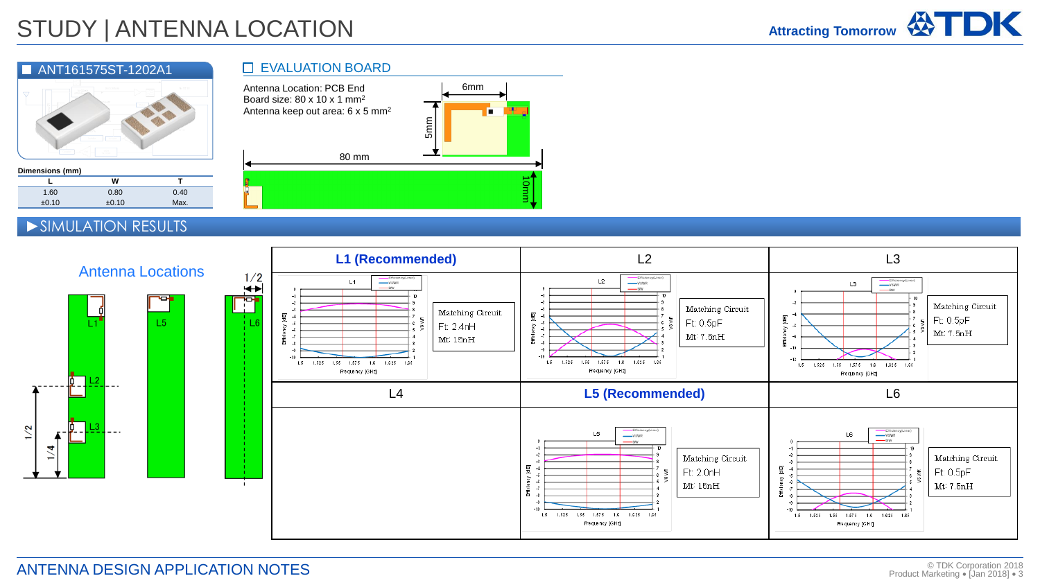# STUDY | ANTENNA LOCATION



#### **Dimensions (mm)**

 $1/2$ 

 $\blacktriangleleft$ 



### ►SIMULATION RESULTS

녧

### **EVALUATION BOARD**





 $L5$